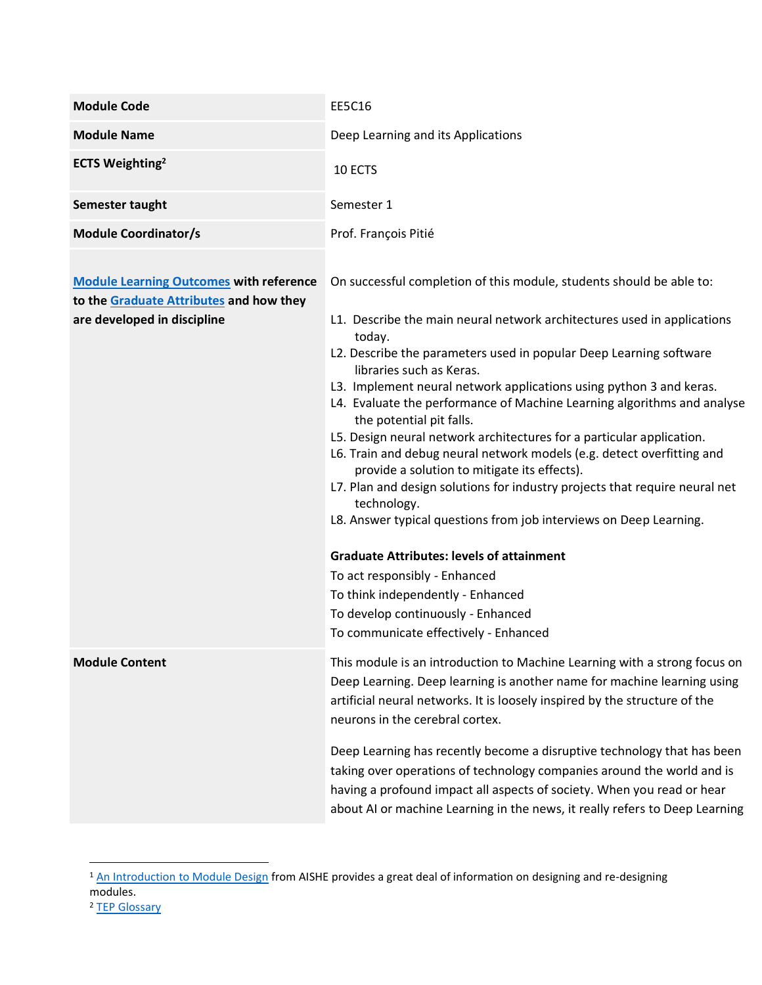| <b>Module Code</b>                                                                                                       | <b>EE5C16</b>                                                                                                                                                                                                                                                                                                                                                                                                                                                                                                                                                                                                                                                                                                                                                                                                    |  |  |  |
|--------------------------------------------------------------------------------------------------------------------------|------------------------------------------------------------------------------------------------------------------------------------------------------------------------------------------------------------------------------------------------------------------------------------------------------------------------------------------------------------------------------------------------------------------------------------------------------------------------------------------------------------------------------------------------------------------------------------------------------------------------------------------------------------------------------------------------------------------------------------------------------------------------------------------------------------------|--|--|--|
| <b>Module Name</b>                                                                                                       | Deep Learning and its Applications                                                                                                                                                                                                                                                                                                                                                                                                                                                                                                                                                                                                                                                                                                                                                                               |  |  |  |
| <b>ECTS Weighting<sup>2</sup></b>                                                                                        | 10 ECTS                                                                                                                                                                                                                                                                                                                                                                                                                                                                                                                                                                                                                                                                                                                                                                                                          |  |  |  |
| Semester taught                                                                                                          | Semester 1                                                                                                                                                                                                                                                                                                                                                                                                                                                                                                                                                                                                                                                                                                                                                                                                       |  |  |  |
| <b>Module Coordinator/s</b>                                                                                              | Prof. François Pitié                                                                                                                                                                                                                                                                                                                                                                                                                                                                                                                                                                                                                                                                                                                                                                                             |  |  |  |
| <b>Module Learning Outcomes with reference</b><br>to the Graduate Attributes and how they<br>are developed in discipline | On successful completion of this module, students should be able to:<br>L1. Describe the main neural network architectures used in applications<br>today.<br>L2. Describe the parameters used in popular Deep Learning software<br>libraries such as Keras.<br>L3. Implement neural network applications using python 3 and keras.<br>L4. Evaluate the performance of Machine Learning algorithms and analyse<br>the potential pit falls.<br>L5. Design neural network architectures for a particular application.<br>L6. Train and debug neural network models (e.g. detect overfitting and<br>provide a solution to mitigate its effects).<br>L7. Plan and design solutions for industry projects that require neural net<br>technology.<br>L8. Answer typical questions from job interviews on Deep Learning. |  |  |  |
|                                                                                                                          | <b>Graduate Attributes: levels of attainment</b><br>To act responsibly - Enhanced<br>To think independently - Enhanced<br>To develop continuously - Enhanced<br>To communicate effectively - Enhanced                                                                                                                                                                                                                                                                                                                                                                                                                                                                                                                                                                                                            |  |  |  |
| <b>Module Content</b>                                                                                                    | This module is an introduction to Machine Learning with a strong focus on<br>Deep Learning. Deep learning is another name for machine learning using<br>artificial neural networks. It is loosely inspired by the structure of the<br>neurons in the cerebral cortex.<br>Deep Learning has recently become a disruptive technology that has been<br>taking over operations of technology companies around the world and is<br>having a profound impact all aspects of society. When you read or hear<br>about AI or machine Learning in the news, it really refers to Deep Learning                                                                                                                                                                                                                              |  |  |  |

<sup>&</sup>lt;sup>1</sup> [An Introduction to Module Design](http://www.aishe.org/wp-content/uploads/2016/01/3-Module-Design.pdf) from AISHE provides a great deal of information on designing and re-designing modules.

<sup>&</sup>lt;sup>2</sup> [TEP Glossary](https://www.tcd.ie/TEP/Council/assets/TEP%20Glossary%20Edition%201%20Decemeber%20circulation1.pdf)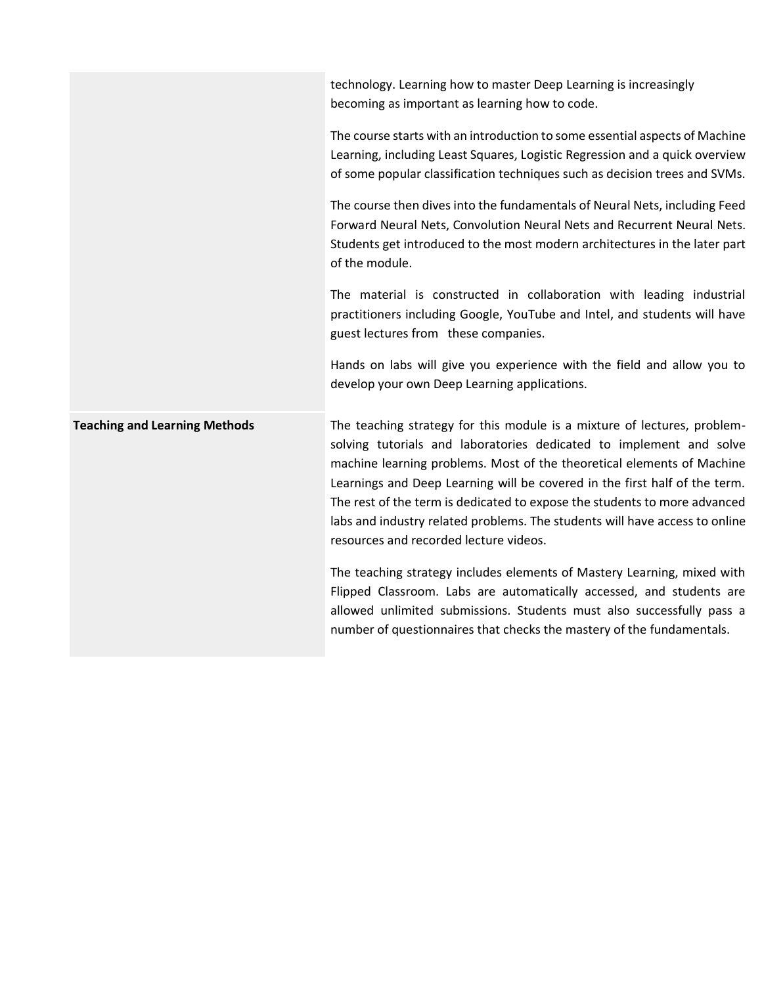technology. Learning how to master Deep Learning is increasingly becoming as important as learning how to code.

The course starts with an introduction to some essential aspects of Machine Learning, including Least Squares, Logistic Regression and a quick overview of some popular classification techniques such as decision trees and SVMs.

The course then dives into the fundamentals of Neural Nets, including Feed Forward Neural Nets, Convolution Neural Nets and Recurrent Neural Nets. Students get introduced to the most modern architectures in the later part of the module.

The material is constructed in collaboration with leading industrial practitioners including Google, YouTube and Intel, and students will have guest lectures from these companies.

Hands on labs will give you experience with the field and allow you to develop your own Deep Learning applications.

**Teaching and Learning Methods** The teaching strategy for this module is a mixture of lectures, problemsolving tutorials and laboratories dedicated to implement and solve machine learning problems. Most of the theoretical elements of Machine Learnings and Deep Learning will be covered in the first half of the term. The rest of the term is dedicated to expose the students to more advanced labs and industry related problems. The students will have access to online resources and recorded lecture videos. The teaching strategy includes elements of Mastery Learning, mixed with

Flipped Classroom. Labs are automatically accessed, and students are allowed unlimited submissions. Students must also successfully pass a number of questionnaires that checks the mastery of the fundamentals.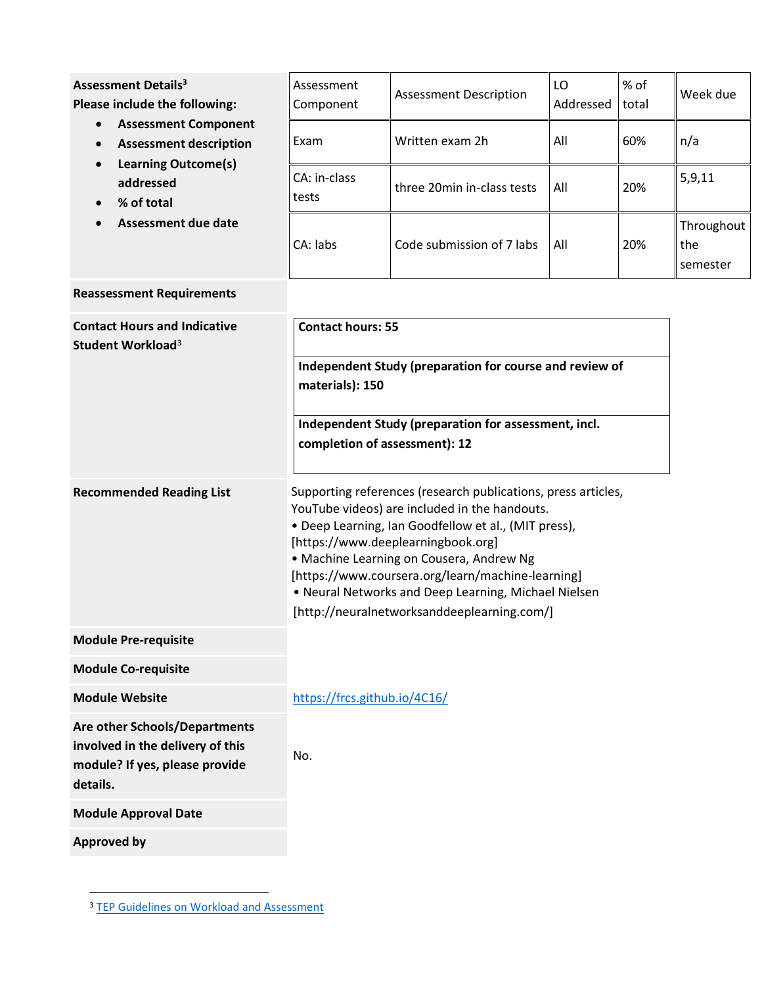<span id="page-2-1"></span><span id="page-2-0"></span>

| <b>Assessment Details<sup>3</sup></b><br>Please include the following:<br><b>Assessment Component</b><br>$\bullet$<br><b>Assessment description</b><br><b>Learning Outcome(s)</b><br>addressed<br>% of total<br><b>Assessment due date</b> | Assessment<br>Component                                                                                                                                                                                                                                                                                                                                                                                              | <b>Assessment Description</b> | LO<br>Addressed | % of<br>total | Week due                      |
|--------------------------------------------------------------------------------------------------------------------------------------------------------------------------------------------------------------------------------------------|----------------------------------------------------------------------------------------------------------------------------------------------------------------------------------------------------------------------------------------------------------------------------------------------------------------------------------------------------------------------------------------------------------------------|-------------------------------|-----------------|---------------|-------------------------------|
|                                                                                                                                                                                                                                            | Exam                                                                                                                                                                                                                                                                                                                                                                                                                 | Written exam 2h               | All             | 60%           | n/a                           |
|                                                                                                                                                                                                                                            | CA: in-class<br>tests                                                                                                                                                                                                                                                                                                                                                                                                | three 20min in-class tests    | All             | 20%           | 5,9,11                        |
|                                                                                                                                                                                                                                            | CA: labs                                                                                                                                                                                                                                                                                                                                                                                                             | Code submission of 7 labs     | All             | 20%           | Throughout<br>the<br>semester |
| <b>Reassessment Requirements</b>                                                                                                                                                                                                           |                                                                                                                                                                                                                                                                                                                                                                                                                      |                               |                 |               |                               |
| <b>Contact Hours and Indicative</b><br>Student Workload <sup>3</sup>                                                                                                                                                                       | <b>Contact hours: 55</b>                                                                                                                                                                                                                                                                                                                                                                                             |                               |                 |               |                               |
|                                                                                                                                                                                                                                            | Independent Study (preparation for course and review of<br>materials): 150                                                                                                                                                                                                                                                                                                                                           |                               |                 |               |                               |
|                                                                                                                                                                                                                                            | Independent Study (preparation for assessment, incl.<br>completion of assessment): 12                                                                                                                                                                                                                                                                                                                                |                               |                 |               |                               |
| <b>Recommended Reading List</b>                                                                                                                                                                                                            | Supporting references (research publications, press articles,<br>YouTube videos) are included in the handouts.<br>• Deep Learning, Ian Goodfellow et al., (MIT press),<br>[https://www.deeplearningbook.org]<br>· Machine Learning on Cousera, Andrew Ng<br>[https://www.coursera.org/learn/machine-learning]<br>. Neural Networks and Deep Learning, Michael Nielsen<br>[http://neuralnetworksanddeeplearning.com/] |                               |                 |               |                               |
| <b>Module Pre-requisite</b>                                                                                                                                                                                                                |                                                                                                                                                                                                                                                                                                                                                                                                                      |                               |                 |               |                               |
| <b>Module Co-requisite</b>                                                                                                                                                                                                                 |                                                                                                                                                                                                                                                                                                                                                                                                                      |                               |                 |               |                               |
| <b>Module Website</b>                                                                                                                                                                                                                      | https://frcs.github.io/4C16/                                                                                                                                                                                                                                                                                                                                                                                         |                               |                 |               |                               |
| Are other Schools/Departments<br>involved in the delivery of this<br>module? If yes, please provide<br>details.                                                                                                                            | No.                                                                                                                                                                                                                                                                                                                                                                                                                  |                               |                 |               |                               |
| <b>Module Approval Date</b>                                                                                                                                                                                                                |                                                                                                                                                                                                                                                                                                                                                                                                                      |                               |                 |               |                               |
| <b>Approved by</b>                                                                                                                                                                                                                         |                                                                                                                                                                                                                                                                                                                                                                                                                      |                               |                 |               |                               |

<sup>&</sup>lt;sup>3</sup> [TEP Guidelines on Workload and Assessment](https://www.tcd.ie/TEP/Council/assets/TEP%20Instructions%20for%20Using%20the%20student%20workload%20mapping%20tool%201.pdf)